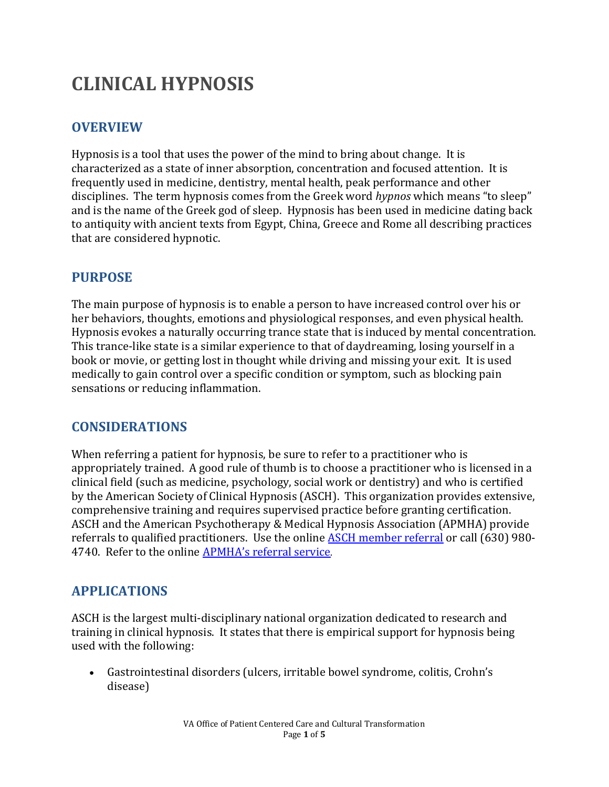# **CLINICAL HYPNOSIS**

# **OVERVIEW**

Hypnosis is a tool that uses the power of the mind to bring about change. It is characterized as a state of inner absorption, concentration and focused attention. It is frequently used in medicine, dentistry, mental health, peak performance and other disciplines. The term hypnosis comes from the Greek word *hypnos* which means "to sleep" and is the name of the Greek god of sleep. Hypnosis has been used in medicine dating back to antiquity with ancient texts from Egypt, China, Greece and Rome all describing practices that are considered hypnotic.

## **PURPOSE**

The main purpose of hypnosis is to enable a person to have increased control over his or her behaviors, thoughts, emotions and physiological responses, and even physical health. Hypnosis evokes a naturally occurring trance state that is induced by mental concentration. This trance-like state is a similar experience to that of daydreaming, losing yourself in a book or movie, or getting lost in thought while driving and missing your exit. It is used medically to gain control over a specific condition or symptom, such as blocking pain sensations or reducing inflammation.

## **CONSIDERATIONS**

When referring a patient for hypnosis, be sure to refer to a practitioner who is appropriately trained. A good rule of thumb is to choose a practitioner who is licensed in a clinical field (such as medicine, psychology, social work or dentistry) and who is certified by the American Society of Clinical Hypnosis (ASCH). This organization provides extensive, comprehensive training and requires supervised practice before granting certification. ASCH and the American Psychotherapy & Medical Hypnosis Association (APMHA) provide referrals to qualified practitioners. Use the online ASCH [member referral](http://www.asch.net/Public/MemberReferralSearch.aspx) or call (630) 980- 4740. Refer to the online [APMHA's referral service.](http://apmha.com/find-licensed-professionals/) 

# **APPLICATIONS**

ASCH is the largest multi-disciplinary national organization dedicated to research and training in clinical hypnosis. It states that there is empirical support for hypnosis being used with the following:

• Gastrointestinal disorders (ulcers, irritable bowel syndrome, colitis, Crohn's disease)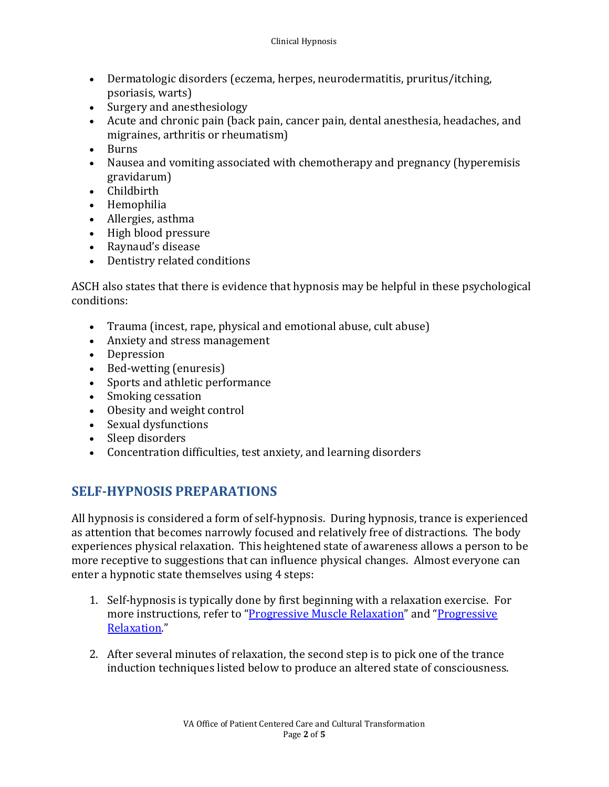- Dermatologic disorders (eczema, herpes, neurodermatitis, pruritus/itching, psoriasis, warts)
- Surgery and anesthesiology
- Acute and chronic pain (back pain, cancer pain, dental anesthesia, headaches, and migraines, arthritis or rheumatism)
- Burns
- Nausea and vomiting associated with chemotherapy and pregnancy (hyperemisis gravidarum)
- Childbirth
- Hemophilia
- Allergies, asthma
- High blood pressure
- Raynaud's disease
- Dentistry related conditions

ASCH also states that there is evidence that hypnosis may be helpful in these psychological conditions:

- Trauma (incest, rape, physical and emotional abuse, cult abuse)
- Anxiety and stress management
- Depression
- Bed-wetting (enuresis)
- Sports and athletic performance
- Smoking cessation
- Obesity and weight control
- Sexual dysfunctions
- Sleep disorders
- Concentration difficulties, test anxiety, and learning disorders

# **SELF-HYPNOSIS PREPARATIONS**

All hypnosis is considered a form of self-hypnosis. During hypnosis, trance is experienced as attention that becomes narrowly focused and relatively free of distractions. The body experiences physical relaxation. This heightened state of awareness allows a person to be more receptive to suggestions that can influence physical changes. Almost everyone can enter a hypnotic state themselves using 4 steps:

- 1. Self-hypnosis is typically done by first beginning with a relaxation exercise. For more instructions, refer to ["Progressive Muscle Relaxation"](https://wholehealth.wiscweb.wisc.edu/tools/progressive-muscle-relaxation/) and ["Progressive](https://wholehealth.wiscweb.wisc.edu/tools/progressive-relaxation/) [Relaxation.](https://wholehealth.wiscweb.wisc.edu/tools/progressive-relaxation/)"
- 2. After several minutes of relaxation, the second step is to pick one of the trance induction techniques listed below to produce an altered state of consciousness.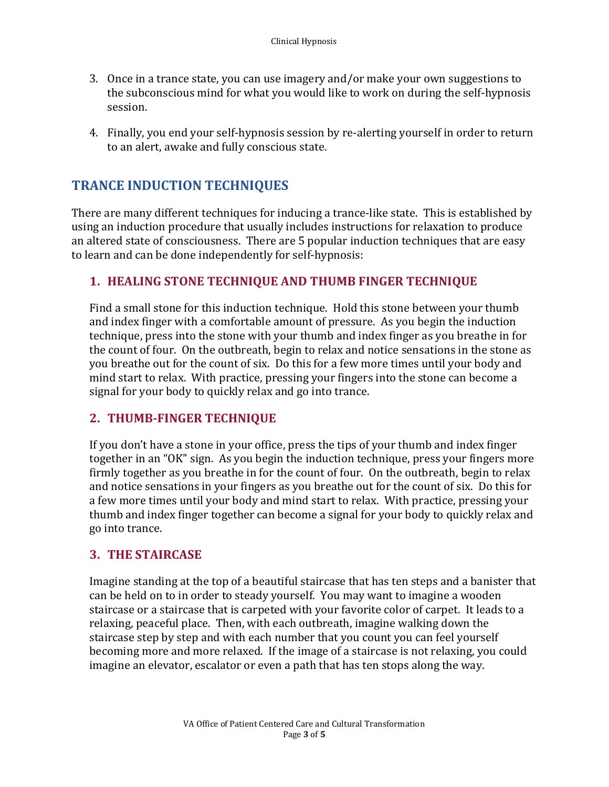- 3. Once in a trance state, you can use imagery and/or make your own suggestions to the subconscious mind for what you would like to work on during the self-hypnosis session.
- 4. Finally, you end your self-hypnosis session by re-alerting yourself in order to return to an alert, awake and fully conscious state.

## **TRANCE INDUCTION TECHNIQUES**

There are many different techniques for inducing a trance-like state. This is established by using an induction procedure that usually includes instructions for relaxation to produce an altered state of consciousness. There are 5 popular induction techniques that are easy to learn and can be done independently for self-hypnosis:

#### **1. HEALING STONE TECHNIQUE AND THUMB FINGER TECHNIQUE**

Find a small stone for this induction technique. Hold this stone between your thumb and index finger with a comfortable amount of pressure. As you begin the induction technique, press into the stone with your thumb and index finger as you breathe in for the count of four. On the outbreath, begin to relax and notice sensations in the stone as you breathe out for the count of six. Do this for a few more times until your body and mind start to relax. With practice, pressing your fingers into the stone can become a signal for your body to quickly relax and go into trance.

#### **2. THUMB-FINGER TECHNIQUE**

If you don't have a stone in your office, press the tips of your thumb and index finger together in an "OK" sign. As you begin the induction technique, press your fingers more firmly together as you breathe in for the count of four. On the outbreath, begin to relax and notice sensations in your fingers as you breathe out for the count of six. Do this for a few more times until your body and mind start to relax. With practice, pressing your thumb and index finger together can become a signal for your body to quickly relax and go into trance.

#### **3. THE STAIRCASE**

Imagine standing at the top of a beautiful staircase that has ten steps and a banister that can be held on to in order to steady yourself. You may want to imagine a wooden staircase or a staircase that is carpeted with your favorite color of carpet. It leads to a relaxing, peaceful place. Then, with each outbreath, imagine walking down the staircase step by step and with each number that you count you can feel yourself becoming more and more relaxed. If the image of a staircase is not relaxing, you could imagine an elevator, escalator or even a path that has ten stops along the way.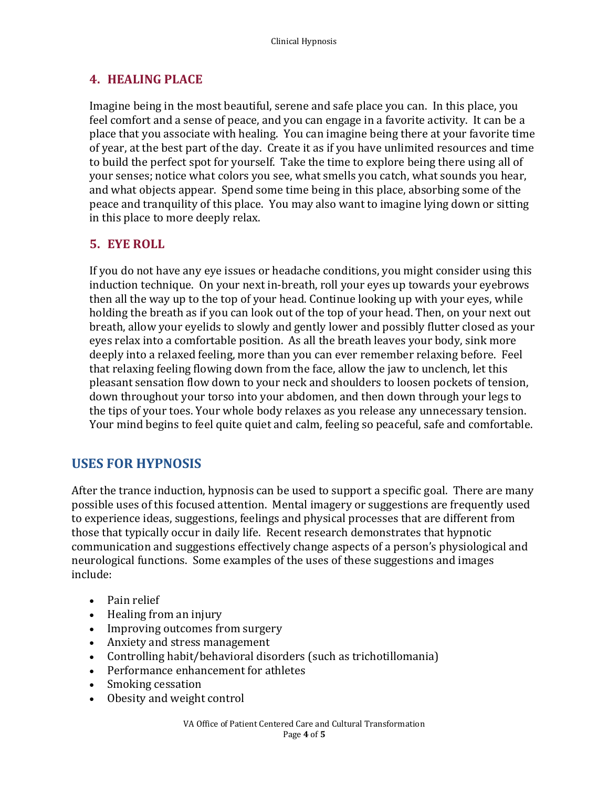#### **4. HEALING PLACE**

Imagine being in the most beautiful, serene and safe place you can. In this place, you feel comfort and a sense of peace, and you can engage in a favorite activity. It can be a place that you associate with healing. You can imagine being there at your favorite time of year, at the best part of the day. Create it as if you have unlimited resources and time to build the perfect spot for yourself. Take the time to explore being there using all of your senses; notice what colors you see, what smells you catch, what sounds you hear, and what objects appear. Spend some time being in this place, absorbing some of the peace and tranquility of this place. You may also want to imagine lying down or sitting in this place to more deeply relax.

#### **5. EYE ROLL**

If you do not have any eye issues or headache conditions, you might consider using this induction technique. On your next in-breath, roll your eyes up towards your eyebrows then all the way up to the top of your head. Continue looking up with your eyes, while holding the breath as if you can look out of the top of your head. Then, on your next out breath, allow your eyelids to slowly and gently lower and possibly flutter closed as your eyes relax into a comfortable position. As all the breath leaves your body, sink more deeply into a relaxed feeling, more than you can ever remember relaxing before. Feel that relaxing feeling flowing down from the face, allow the jaw to unclench, let this pleasant sensation flow down to your neck and shoulders to loosen pockets of tension, down throughout your torso into your abdomen, and then down through your legs to the tips of your toes. Your whole body relaxes as you release any unnecessary tension. Your mind begins to feel quite quiet and calm, feeling so peaceful, safe and comfortable.

# **USES FOR HYPNOSIS**

After the trance induction, hypnosis can be used to support a specific goal. There are many possible uses of this focused attention. Mental imagery or suggestions are frequently used to experience ideas, suggestions, feelings and physical processes that are different from those that typically occur in daily life. Recent research demonstrates that hypnotic communication and suggestions effectively change aspects of a person's physiological and neurological functions. Some examples of the uses of these suggestions and images include:

- Pain relief
- Healing from an injury
- Improving outcomes from surgery
- Anxiety and stress management
- Controlling habit/behavioral disorders (such as trichotillomania)
- Performance enhancement for athletes
- Smoking cessation
- Obesity and weight control